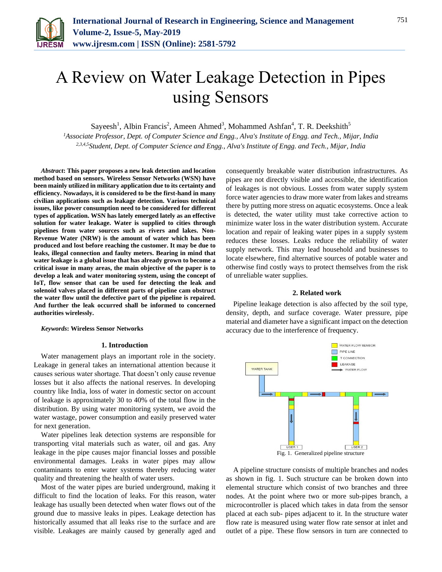

# A Review on Water Leakage Detection in Pipes using Sensors

Sayeesh<sup>1</sup>, Albin Francis<sup>2</sup>, Ameen Ahmed<sup>3</sup>, Mohammed Ashfan<sup>4</sup>, T. R. Deekshith<sup>5</sup>

*<sup>1</sup>Associate Professor, Dept. of Computer Science and Engg., Alva's Institute of Engg. and Tech., Mijar, India 2,3,4,5Student, Dept. of Computer Science and Engg., Alva's Institute of Engg. and Tech., Mijar, India*

*Abstract***: This paper proposes a new leak detection and location method based on sensors. Wireless Sensor Networks (WSN) have been mainly utilized in military application due to its certainty and efficiency. Nowadays, it is considered to be the first-hand in many civilian applications such as leakage detection. Various technical issues, like power consumption need to be considered for different types of application. WSN has lately emerged lately as an effective solution for water leakage. Water is supplied to cities through pipelines from water sources such as rivers and lakes. Non-Revenue Water (NRW) is the amount of water which has been produced and lost before reaching the customer. It may be due to leaks, illegal connection and faulty meters. Bearing in mind that water leakage is a global issue that has already grown to become a critical issue in many areas, the main objective of the paper is to develop a leak and water monitoring system, using the concept of IoT, flow sensor that can be used for detecting the leak and solenoid valves placed in different parts of pipeline cam obstruct the water flow until the defective part of the pipeline is repaired. And further the leak occurred shall be informed to concerned authorities wirelessly.**

*Keywords***: Wireless Sensor Networks**

# **1. Introduction**

Water management plays an important role in the society. Leakage in general takes an international attention because it causes serious water shortage. That doesn't only cause revenue losses but it also affects the national reserves. In developing country like India, loss of water in domestic sector on account of leakage is approximately 30 to 40% of the total flow in the distribution. By using water monitoring system, we avoid the water wastage, power consumption and easily preserved water for next generation.

Water pipelines leak detection systems are responsible for transporting vital materials such as water, oil and gas. Any leakage in the pipe causes major financial losses and possible environmental damages. Leaks in water pipes may allow contaminants to enter water systems thereby reducing water quality and threatening the health of water users.

Most of the water pipes are buried underground, making it difficult to find the location of leaks. For this reason, water leakage has usually been detected when water flows out of the ground due to massive leaks in pipes. Leakage detection has historically assumed that all leaks rise to the surface and are visible. Leakages are mainly caused by generally aged and consequently breakable water distribution infrastructures. As pipes are not directly visible and accessible, the identification of leakages is not obvious. Losses from water supply system force water agencies to draw more water from lakes and streams there by putting more stress on aquatic ecosystems. Once a leak is detected, the water utility must take corrective action to minimize water loss in the water distribution system. Accurate location and repair of leaking water pipes in a supply system reduces these losses. Leaks reduce the reliability of water supply network. This may lead household and businesses to locate elsewhere, find alternative sources of potable water and otherwise find costly ways to protect themselves from the risk of unreliable water supplies.

# **2. Related work**

Pipeline leakage detection is also affected by the soil type, density, depth, and surface coverage. Water pressure, pipe material and diameter have a significant impact on the detection accuracy due to the interference of frequency.



A pipeline structure consists of multiple branches and nodes as shown in fig. 1. Such structure can be broken down into elemental structure which consist of two branches and three nodes. At the point where two or more sub-pipes branch, a microcontroller is placed which takes in data from the sensor placed at each sub- pipes adjacent to it. In the structure water flow rate is measured using water flow rate sensor at inlet and outlet of a pipe. These flow sensors in turn are connected to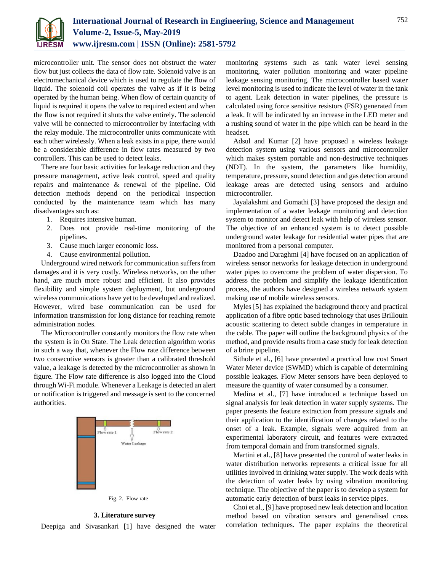

microcontroller unit. The sensor does not obstruct the water flow but just collects the data of flow rate. Solenoid valve is an electromechanical device which is used to regulate the flow of liquid. The solenoid coil operates the valve as if it is being operated by the human being. When flow of certain quantity of liquid is required it opens the valve to required extent and when the flow is not required it shuts the valve entirely. The solenoid valve will be connected to microcontroller by interfacing with the relay module. The microcontroller units communicate with each other wirelessly. When a leak exists in a pipe, there would be a considerable difference in flow rates measured by two controllers. This can be used to detect leaks.

There are four basic activities for leakage reduction and they pressure management, active leak control, speed and quality repairs and maintenance & renewal of the pipeline. Old detection methods depend on the periodical inspection conducted by the maintenance team which has many disadvantages such as:

- 1. Requires intensive human.
- 2. Does not provide real-time monitoring of the pipelines.
- 3. Cause much larger economic loss.
- 4. Cause environmental pollution.

Underground wired network for communication suffers from damages and it is very costly. Wireless networks, on the other hand, are much more robust and efficient. It also provides flexibility and simple system deployment, but underground wireless communications have yet to be developed and realized. However, wired base communication can be used for information transmission for long distance for reaching remote administration nodes.

The Microcontroller constantly monitors the flow rate when the system is in On State. The Leak detection algorithm works in such a way that, whenever the Flow rate difference between two consecutive sensors is greater than a calibrated threshold value, a leakage is detected by the microcontroller as shown in figure. The Flow rate difference is also logged into the Cloud through Wi-Fi module. Whenever a Leakage is detected an alert or notification is triggered and message is sent to the concerned authorities.





### **3. Literature survey**

Deepiga and Sivasankari [1] have designed the water

monitoring systems such as tank water level sensing monitoring, water pollution monitoring and water pipeline leakage sensing monitoring. The microcontroller based water level monitoring is used to indicate the level of water in the tank to agent. Leak detection in water pipelines, the pressure is calculated using force sensitive resistors (FSR) generated from a leak. It will be indicated by an increase in the LED meter and a rushing sound of water in the pipe which can be heard in the headset.

Adsul and Kumar [2] have proposed a wireless leakage detection system using various sensors and microcontroller which makes system portable and non-destructive techniques (NDT). In the system, the parameters like humidity, temperature, pressure, sound detection and gas detection around leakage areas are detected using sensors and arduino microcontroller.

Jayalakshmi and Gomathi [3] have proposed the design and implementation of a water leakage monitoring and detection system to monitor and detect leak with help of wireless sensor. The objective of an enhanced system is to detect possible underground water leakage for residential water pipes that are monitored from a personal computer.

Daadoo and Daraghmi [4] have focused on an application of wireless sensor networks for leakage detection in underground water pipes to overcome the problem of water dispersion. To address the problem and simplify the leakage identification process, the authors have designed a wireless network system making use of mobile wireless sensors.

Myles [5] has explained the background theory and practical application of a fibre optic based technology that uses Brillouin acoustic scattering to detect subtle changes in temperature in the cable. The paper will outline the background physics of the method, and provide results from a case study for leak detection of a brine pipeline.

Sithole et al., [6] have presented a practical low cost Smart Water Meter device (SWMD) which is capable of determining possible leakages. Flow Meter sensors have been deployed to measure the quantity of water consumed by a consumer.

Medina et al., [7] have introduced a technique based on signal analysis for leak detection in water supply systems. The paper presents the feature extraction from pressure signals and their application to the identification of changes related to the onset of a leak. Example, signals were acquired from an experimental laboratory circuit, and features were extracted from temporal domain and from transformed signals.

Martini et al., [8] have presented the control of water leaks in water distribution networks represents a critical issue for all utilities involved in drinking water supply. The work deals with the detection of water leaks by using vibration monitoring technique. The objective of the paper is to develop a system for automatic early detection of burst leaks in service pipes.

Choi et al., [9] have proposed new leak detection and location method based on vibration sensors and generalised cross correlation techniques. The paper explains the theoretical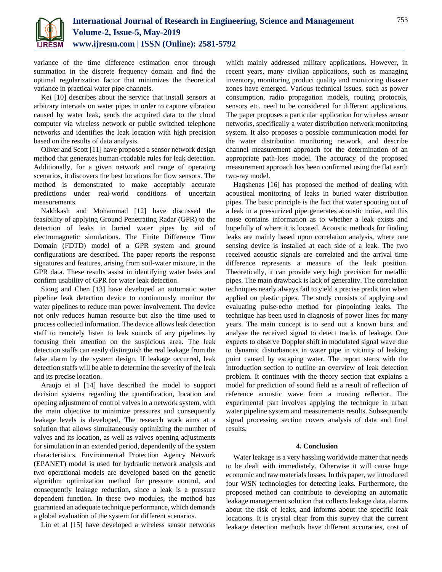

variance of the time difference estimation error through summation in the discrete frequency domain and find the optimal regularization factor that minimizes the theoretical variance in practical water pipe channels.

Kei [10] describes about the service that install sensors at arbitrary intervals on water pipes in order to capture vibration caused by water leak, sends the acquired data to the cloud computer via wireless network or public switched telephone networks and identifies the leak location with high precision based on the results of data analysis.

Oliver and Scott [11] have proposed a sensor network design method that generates human-readable rules for leak detection. Additionally, for a given network and range of operating scenarios, it discovers the best locations for flow sensors. The method is demonstrated to make acceptably accurate predictions under real-world conditions of uncertain measurements.

Nakhkash and Mohammad [12] have discussed the feasibility of applying Ground Penetrating Radar (GPR) to the detection of leaks in buried water pipes by aid of electromagnetic simulations. The Finite Difference Time Domain (FDTD) model of a GPR system and ground configurations are described. The paper reports the response signatures and features, arising from soil-water mixture, in the GPR data. These results assist in identifying water leaks and confirm usability of GPR for water leak detection.

Siong and Chen [13] have developed an automatic water pipeline leak detection device to continuously monitor the water pipelines to reduce man power involvement. The device not only reduces human resource but also the time used to process collected information. The device allows leak detection staff to remotely listen to leak sounds of any pipelines by focusing their attention on the suspicious area. The leak detection staffs can easily distinguish the real leakage from the false alarm by the system design. If leakage occurred, leak detection staffs will be able to determine the severity of the leak and its precise location.

Araujo et al [14] have described the model to support decision systems regarding the quantification, location and opening adjustment of control valves in a network system, with the main objective to minimize pressures and consequently leakage levels is developed. The research work aims at a solution that allows simultaneously optimizing the number of valves and its location, as well as valves opening adjustments for simulation in an extended period, dependently of the system characteristics. Environmental Protection Agency Network (EPANET) model is used for hydraulic network analysis and two operational models are developed based on the genetic algorithm optimization method for pressure control, and consequently leakage reduction, since a leak is a pressure dependent function. In these two modules, the method has guaranteed an adequate technique performance, which demands a global evaluation of the system for different scenarios.

Lin et al [15] have developed a wireless sensor networks

which mainly addressed military applications. However, in recent years, many civilian applications, such as managing inventory, monitoring product quality and monitoring disaster zones have emerged. Various technical issues, such as power consumption, radio propagation models, routing protocols, sensors etc. need to be considered for different applications. The paper proposes a particular application for wireless sensor networks, specifically a water distribution network monitoring system. It also proposes a possible communication model for the water distribution monitoring network, and describe channel measurement approach for the determination of an appropriate path-loss model. The accuracy of the proposed measurement approach has been confirmed using the flat earth two-ray model.

Haqshenas [16] has proposed the method of dealing with acoustical monitoring of leaks in buried water distribution pipes. The basic principle is the fact that water spouting out of a leak in a pressurized pipe generates acoustic noise, and this noise contains information as to whether a leak exists and hopefully of where it is located. Acoustic methods for finding leaks are mainly based upon correlation analysis, where one sensing device is installed at each side of a leak. The two received acoustic signals are correlated and the arrival time difference represents a measure of the leak position. Theoretically, it can provide very high precision for metallic pipes. The main drawback is lack of generality. The correlation techniques nearly always fail to yield a precise prediction when applied on plastic pipes. The study consists of applying and evaluating pulse-echo method for pinpointing leaks. The technique has been used in diagnosis of power lines for many years. The main concept is to send out a known burst and analyse the received signal to detect tracks of leakage. One expects to observe Doppler shift in modulated signal wave due to dynamic disturbances in water pipe in vicinity of leaking point caused by escaping water. The report starts with the introduction section to outline an overview of leak detection problem. It continues with the theory section that explains a model for prediction of sound field as a result of reflection of reference acoustic wave from a moving reflector. The experimental part involves applying the technique in urban water pipeline system and measurements results. Subsequently signal processing section covers analysis of data and final results.

# **4. Conclusion**

Water leakage is a very hassling worldwide matter that needs to be dealt with immediately. Otherwise it will cause huge economic and raw materials losses. In this paper, we introduced four WSN technologies for detecting leaks. Furthermore, the proposed method can contribute to developing an automatic leakage management solution that collects leakage data, alarms about the risk of leaks, and informs about the specific leak locations. It is crystal clear from this survey that the current leakage detection methods have different accuracies, cost of